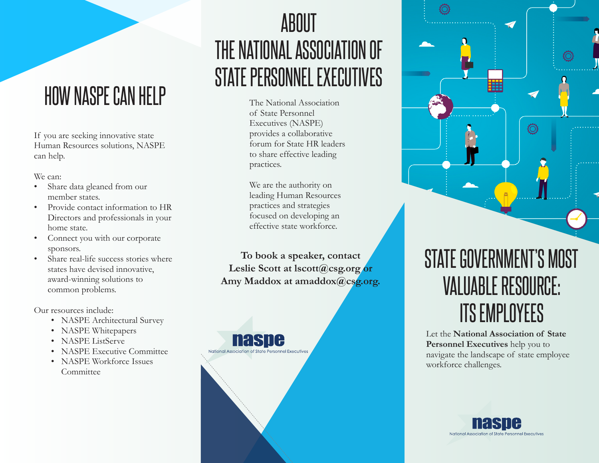### HOW NASPE CAN HELP

If you are seeking innovative state Human Resources solutions, NASPE can help.

We can:

- Share data gleaned from our member states.
- Provide contact information to HR Directors and professionals in your home state.
- Connect you with our corporate sponsors.
- Share real-life success stories where states have devised innovative, award-winning solutions to common problems.

Our resources include:

- NASPE Architectural Survey
- NASPE Whitepapers
- NASPE ListServe
- NASPE Executive Committee
- NASPE Workforce Issues Committee

## ABOUT THE NATIONAL ASSOCIATION OF STATE PERSONNEL EXECUTIVES

The National Association of State Personnel Executives (NASPE) provides a collaborative forum for State HR leaders to share effective leading practices.

We are the authority on leading Human Resources practices and strategies focused on developing an effective state workforce.

**To book a speaker, contact Leslie Scott at lscott@csg.org or Amy Maddox at amaddox@csg.org.**

nasne

National Association of State Pe

### STATE GOVERNMENT'S MOST VALUABLE RESOURCE: ITS EMPLOYEES

Let the **National Association of State Personnel Executives** help you to navigate the landscape of state employee workforce challenges.